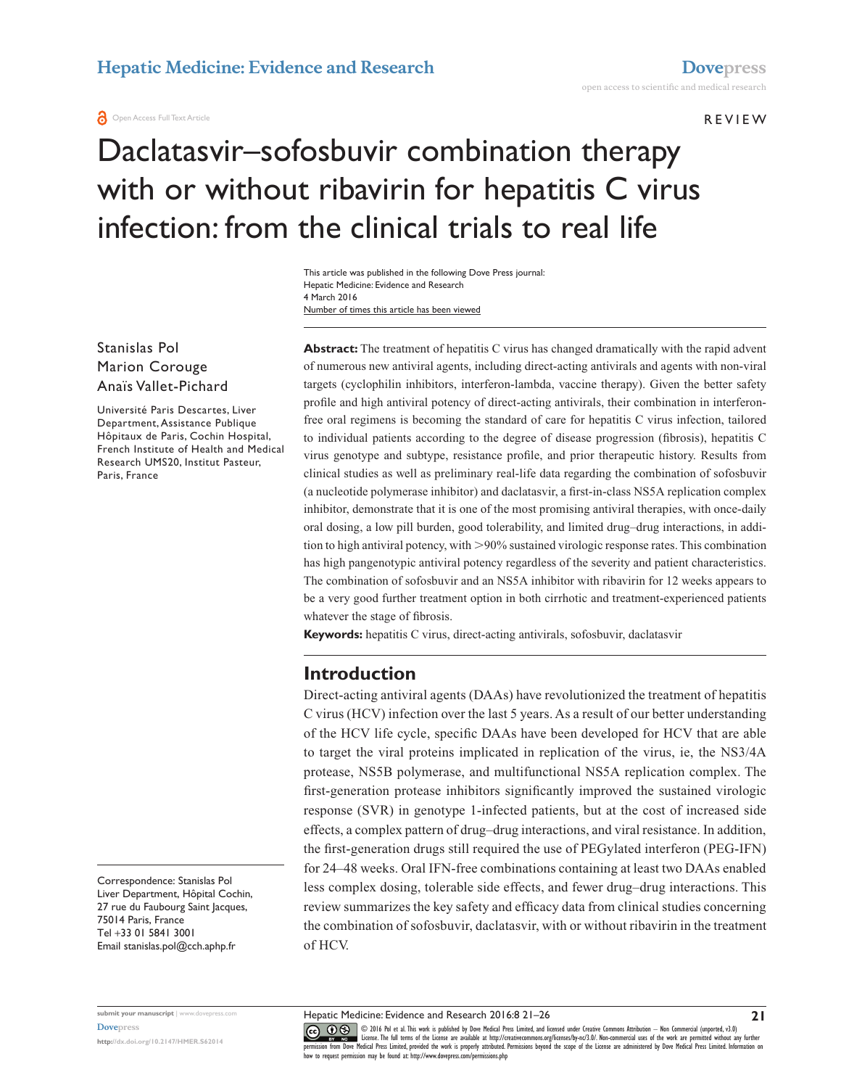**REVIEW** 

# Daclatasvir–sofosbuvir combination therapy with or without ribavirin for hepatitis C virus infection: from the clinical trials to real life

Number of times this article has been viewed This article was published in the following Dove Press journal: Hepatic Medicine: Evidence and Research 4 March 2016

Stanislas Pol Marion Corouge Anaïs Vallet-Pichard

Université Paris Descartes, Liver Department, Assistance Publique Hôpitaux de Paris, Cochin Hospital, French Institute of Health and Medical Research UMS20, Institut Pasteur, Paris, France

Correspondence: Stanislas Pol Liver Department, Hôpital Cochin, 27 rue du Faubourg Saint Jacques, 75014 Paris, France Tel +33 01 5841 3001 Email [stanislas.pol@cch.aphp.fr](mailto:stanislas.pol@cch.aphp.fr)

**<http://dx.doi.org/10.2147/HMER.S62014>**

Abstract: The treatment of hepatitis C virus has changed dramatically with the rapid advent of numerous new antiviral agents, including direct-acting antivirals and agents with non-viral targets (cyclophilin inhibitors, interferon-lambda, vaccine therapy). Given the better safety profile and high antiviral potency of direct-acting antivirals, their combination in interferonfree oral regimens is becoming the standard of care for hepatitis C virus infection, tailored to individual patients according to the degree of disease progression (fibrosis), hepatitis C virus genotype and subtype, resistance profile, and prior therapeutic history. Results from clinical studies as well as preliminary real-life data regarding the combination of sofosbuvir (a nucleotide polymerase inhibitor) and daclatasvir, a first-in-class NS5A replication complex inhibitor, demonstrate that it is one of the most promising antiviral therapies, with once-daily oral dosing, a low pill burden, good tolerability, and limited drug–drug interactions, in addition to high antiviral potency, with >90% sustained virologic response rates. This combination has high pangenotypic antiviral potency regardless of the severity and patient characteristics. The combination of sofosbuvir and an NS5A inhibitor with ribavirin for 12 weeks appears to be a very good further treatment option in both cirrhotic and treatment-experienced patients whatever the stage of fibrosis.

**Keywords:** hepatitis C virus, direct-acting antivirals, sofosbuvir, daclatasvir

# **Introduction**

Direct-acting antiviral agents (DAAs) have revolutionized the treatment of hepatitis C virus (HCV) infection over the last 5 years. As a result of our better understanding of the HCV life cycle, specific DAAs have been developed for HCV that are able to target the viral proteins implicated in replication of the virus, ie, the NS3/4A protease, NS5B polymerase, and multifunctional NS5A replication complex. The first-generation protease inhibitors significantly improved the sustained virologic response (SVR) in genotype 1-infected patients, but at the cost of increased side effects, a complex pattern of drug–drug interactions, and viral resistance. In addition, the first-generation drugs still required the use of PEGylated interferon (PEG-IFN) for 24–48 weeks. Oral IFN-free combinations containing at least two DAAs enabled less complex dosing, tolerable side effects, and fewer drug–drug interactions. This review summarizes the key safety and efficacy data from clinical studies concerning the combination of sofosbuvir, daclatasvir, with or without ribavirin in the treatment of HCV.

© 2016 Pol et al. This work is published by Dove Medical Press Limited, and licensed under Creative Commons Attribution — Non Commercial (unported, v3.0)<br>License. The full terms of the License are available at http://creat [permission from Dove M](http://www.dovepress.com/permissions.php)edical Press Limited, provided the work is properly attributed. Permissions beyond the scope of the License are administered by Dove Medical Press Limited. Information on<br>how to request permission may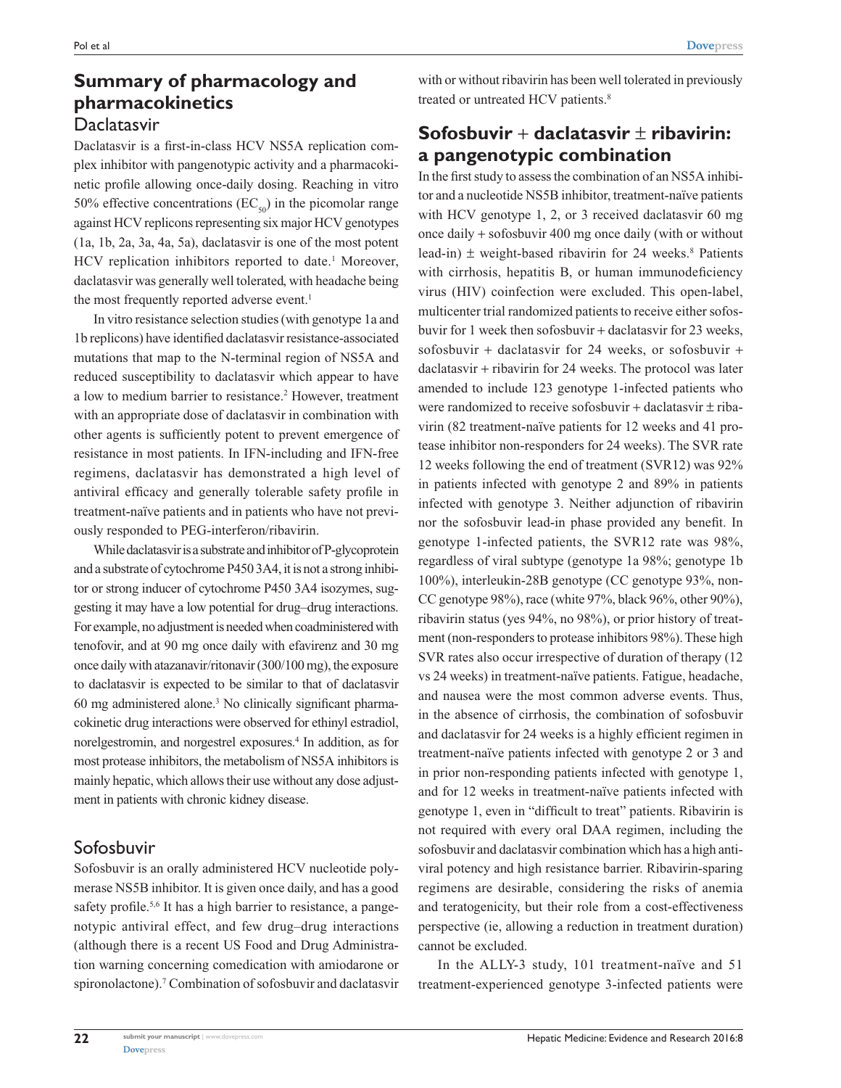# **Summary of pharmacology and pharmacokinetics Daclatasvir**

Daclatasvir is a first-in-class HCV NS5A replication complex inhibitor with pangenotypic activity and a pharmacokinetic profile allowing once-daily dosing. Reaching in vitro 50% effective concentrations ( $EC_{50}$ ) in the picomolar range against HCV replicons representing six major HCV genotypes (1a, 1b, 2a, 3a, 4a, 5a), daclatasvir is one of the most potent HCV replication inhibitors reported to date.<sup>1</sup> Moreover, daclatasvir was generally well tolerated, with headache being the most frequently reported adverse event.<sup>1</sup>

In vitro resistance selection studies (with genotype 1a and 1b replicons) have identified daclatasvir resistance-associated mutations that map to the N-terminal region of NS5A and reduced susceptibility to daclatasvir which appear to have a low to medium barrier to resistance.<sup>2</sup> However, treatment with an appropriate dose of daclatasvir in combination with other agents is sufficiently potent to prevent emergence of resistance in most patients. In IFN-including and IFN-free regimens, daclatasvir has demonstrated a high level of antiviral efficacy and generally tolerable safety profile in treatment-naïve patients and in patients who have not previously responded to PEG-interferon/ribavirin.

While daclatasvir is a substrate and inhibitor of P-glycoprotein and a substrate of cytochrome P450 3A4, it is not a strong inhibitor or strong inducer of cytochrome P450 3A4 isozymes, suggesting it may have a low potential for drug–drug interactions. For example, no adjustment is needed when coadministered with tenofovir, and at 90 mg once daily with efavirenz and 30 mg once daily with atazanavir/ritonavir (300/100 mg), the exposure to daclatasvir is expected to be similar to that of daclatasvir 60 mg administered alone.3 No clinically significant pharmacokinetic drug interactions were observed for ethinyl estradiol, norelgestromin, and norgestrel exposures.4 In addition, as for most protease inhibitors, the metabolism of NS5A inhibitors is mainly hepatic, which allows their use without any dose adjustment in patients with chronic kidney disease.

# Sofosbuvir

Sofosbuvir is an orally administered HCV nucleotide polymerase NS5B inhibitor. It is given once daily, and has a good safety profile.<sup>5,6</sup> It has a high barrier to resistance, a pangenotypic antiviral effect, and few drug–drug interactions (although there is a recent US Food and Drug Administration warning concerning comedication with amiodarone or spironolactone).<sup>7</sup> Combination of sofosbuvir and daclatasvir

with or without ribavirin has been well tolerated in previously treated or untreated HCV patients.<sup>8</sup>

# **Sofosbuvir** + **daclatasvir** ± **ribavirin: a pangenotypic combination**

In the first study to assess the combination of an NS5A inhibitor and a nucleotide NS5B inhibitor, treatment-naïve patients with HCV genotype 1, 2, or 3 received daclatasvir 60 mg once daily + sofosbuvir 400 mg once daily (with or without lead-in)  $\pm$  weight-based ribavirin for 24 weeks.<sup>8</sup> Patients with cirrhosis, hepatitis B, or human immunodeficiency virus (HIV) coinfection were excluded. This open-label, multicenter trial randomized patients to receive either sofosbuvir for 1 week then sofosbuvir + daclatasvir for 23 weeks, sofosbuvir + daclatasvir for 24 weeks, or sofosbuvir + daclatasvir + ribavirin for 24 weeks. The protocol was later amended to include 123 genotype 1-infected patients who were randomized to receive sofosbuvir + daclatasvir  $\pm$  ribavirin (82 treatment-naïve patients for 12 weeks and 41 protease inhibitor non-responders for 24 weeks). The SVR rate 12 weeks following the end of treatment (SVR12) was 92% in patients infected with genotype 2 and 89% in patients infected with genotype 3. Neither adjunction of ribavirin nor the sofosbuvir lead-in phase provided any benefit. In genotype 1-infected patients, the SVR12 rate was 98%, regardless of viral subtype (genotype 1a 98%; genotype 1b 100%), interleukin-28B genotype (CC genotype 93%, non-CC genotype 98%), race (white 97%, black 96%, other 90%), ribavirin status (yes 94%, no 98%), or prior history of treatment (non-responders to protease inhibitors 98%). These high SVR rates also occur irrespective of duration of therapy (12 vs 24 weeks) in treatment-naïve patients. Fatigue, headache, and nausea were the most common adverse events. Thus, in the absence of cirrhosis, the combination of sofosbuvir and daclatasvir for 24 weeks is a highly efficient regimen in treatment-naïve patients infected with genotype 2 or 3 and in prior non-responding patients infected with genotype 1, and for 12 weeks in treatment-naïve patients infected with genotype 1, even in "difficult to treat" patients. Ribavirin is not required with every oral DAA regimen, including the sofosbuvir and daclatasvir combination which has a high antiviral potency and high resistance barrier. Ribavirin-sparing regimens are desirable, considering the risks of anemia and teratogenicity, but their role from a cost-effectiveness perspective (ie, allowing a reduction in treatment duration) cannot be excluded.

In the ALLY-3 study, 101 treatment-naïve and 51 treatment-experienced genotype 3-infected patients were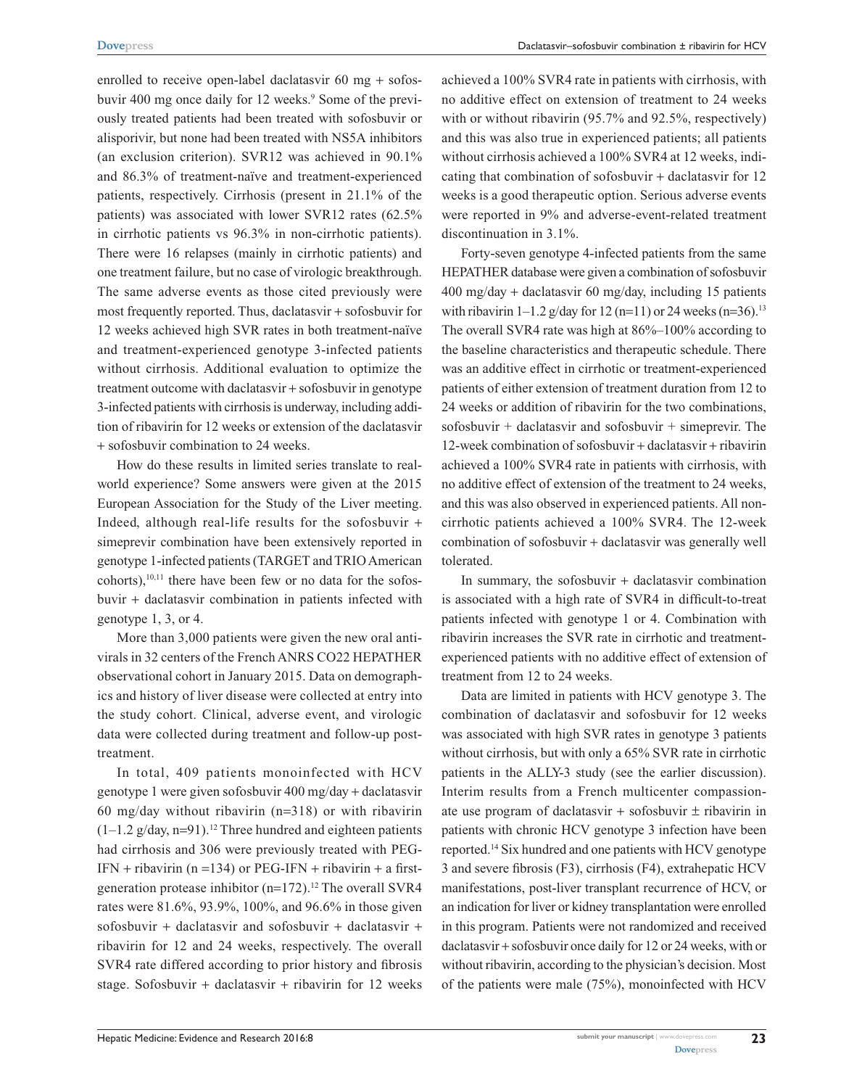enrolled to receive open-label daclatasvir 60 mg + sofosbuvir 400 mg once daily for 12 weeks.<sup>9</sup> Some of the previously treated patients had been treated with sofosbuvir or alisporivir, but none had been treated with NS5A inhibitors (an exclusion criterion). SVR12 was achieved in 90.1% and 86.3% of treatment-naïve and treatment-experienced patients, respectively. Cirrhosis (present in 21.1% of the patients) was associated with lower SVR12 rates (62.5% in cirrhotic patients vs 96.3% in non-cirrhotic patients). There were 16 relapses (mainly in cirrhotic patients) and one treatment failure, but no case of virologic breakthrough. The same adverse events as those cited previously were most frequently reported. Thus, daclatasvir + sofosbuvir for 12 weeks achieved high SVR rates in both treatment-naïve and treatment-experienced genotype 3-infected patients without cirrhosis. Additional evaluation to optimize the treatment outcome with daclatasvir + sofosbuvir in genotype 3-infected patients with cirrhosis is underway, including addition of ribavirin for 12 weeks or extension of the daclatasvir + sofosbuvir combination to 24 weeks.

How do these results in limited series translate to realworld experience? Some answers were given at the 2015 European Association for the Study of the Liver meeting. Indeed, although real-life results for the sofosbuvir + simeprevir combination have been extensively reported in genotype 1-infected patients (TARGET and TRIO American  $cohorts$ ), $10,11$  there have been few or no data for the sofosbuvir + daclatasvir combination in patients infected with genotype 1, 3, or 4.

More than 3,000 patients were given the new oral antivirals in 32 centers of the French ANRS CO22 HEPATHER observational cohort in January 2015. Data on demographics and history of liver disease were collected at entry into the study cohort. Clinical, adverse event, and virologic data were collected during treatment and follow-up posttreatment.

In total, 409 patients monoinfected with HCV genotype 1 were given sofosbuvir 400 mg/day + daclatasvir 60 mg/day without ribavirin (n=318) or with ribavirin  $(1-1.2 \text{ g/day}, n=91).$ <sup>12</sup> Three hundred and eighteen patients had cirrhosis and 306 were previously treated with PEG- $IFN + ribavirin (n = 134)$  or  $PEG-IFN + ribavirin + a first$ generation protease inhibitor  $(n=172)$ .<sup>12</sup> The overall SVR4 rates were 81.6%, 93.9%, 100%, and 96.6% in those given sofosbuvir + daclatasvir and sofosbuvir + daclatasvir + ribavirin for 12 and 24 weeks, respectively. The overall SVR4 rate differed according to prior history and fibrosis stage. Sofosbuvir + daclatasvir + ribavirin for 12 weeks achieved a 100% SVR4 rate in patients with cirrhosis, with no additive effect on extension of treatment to 24 weeks with or without ribavirin (95.7% and 92.5%, respectively) and this was also true in experienced patients; all patients without cirrhosis achieved a 100% SVR4 at 12 weeks, indicating that combination of sofosbuvir + daclatasvir for 12 weeks is a good therapeutic option. Serious adverse events were reported in 9% and adverse-event-related treatment discontinuation in 3.1%.

Forty-seven genotype 4-infected patients from the same HEPATHER database were given a combination of sofosbuvir 400 mg/day + daclatasvir 60 mg/day, including 15 patients with ribavirin  $1-1.2$  g/day for  $12$  (n=11) or 24 weeks (n=36).<sup>13</sup> The overall SVR4 rate was high at 86%–100% according to the baseline characteristics and therapeutic schedule. There was an additive effect in cirrhotic or treatment-experienced patients of either extension of treatment duration from 12 to 24 weeks or addition of ribavirin for the two combinations, sofosbuvir + daclatasvir and sofosbuvir + simeprevir. The 12-week combination of sofosbuvir + daclatasvir + ribavirin achieved a 100% SVR4 rate in patients with cirrhosis, with no additive effect of extension of the treatment to 24 weeks, and this was also observed in experienced patients. All noncirrhotic patients achieved a 100% SVR4. The 12-week combination of sofosbuvir + daclatasvir was generally well tolerated.

In summary, the sofosbuvir  $+$  daclatasvir combination is associated with a high rate of SVR4 in difficult-to-treat patients infected with genotype 1 or 4. Combination with ribavirin increases the SVR rate in cirrhotic and treatmentexperienced patients with no additive effect of extension of treatment from 12 to 24 weeks.

Data are limited in patients with HCV genotype 3. The combination of daclatasvir and sofosbuvir for 12 weeks was associated with high SVR rates in genotype 3 patients without cirrhosis, but with only a 65% SVR rate in cirrhotic patients in the ALLY-3 study (see the earlier discussion). Interim results from a French multicenter compassionate use program of daclatasvir + sofosbuvir  $\pm$  ribavirin in patients with chronic HCV genotype 3 infection have been reported.14 Six hundred and one patients with HCV genotype 3 and severe fibrosis (F3), cirrhosis (F4), extrahepatic HCV manifestations, post-liver transplant recurrence of HCV, or an indication for liver or kidney transplantation were enrolled in this program. Patients were not randomized and received daclatasvir + sofosbuvir once daily for 12 or 24 weeks, with or without ribavirin, according to the physician's decision. Most of the patients were male (75%), monoinfected with HCV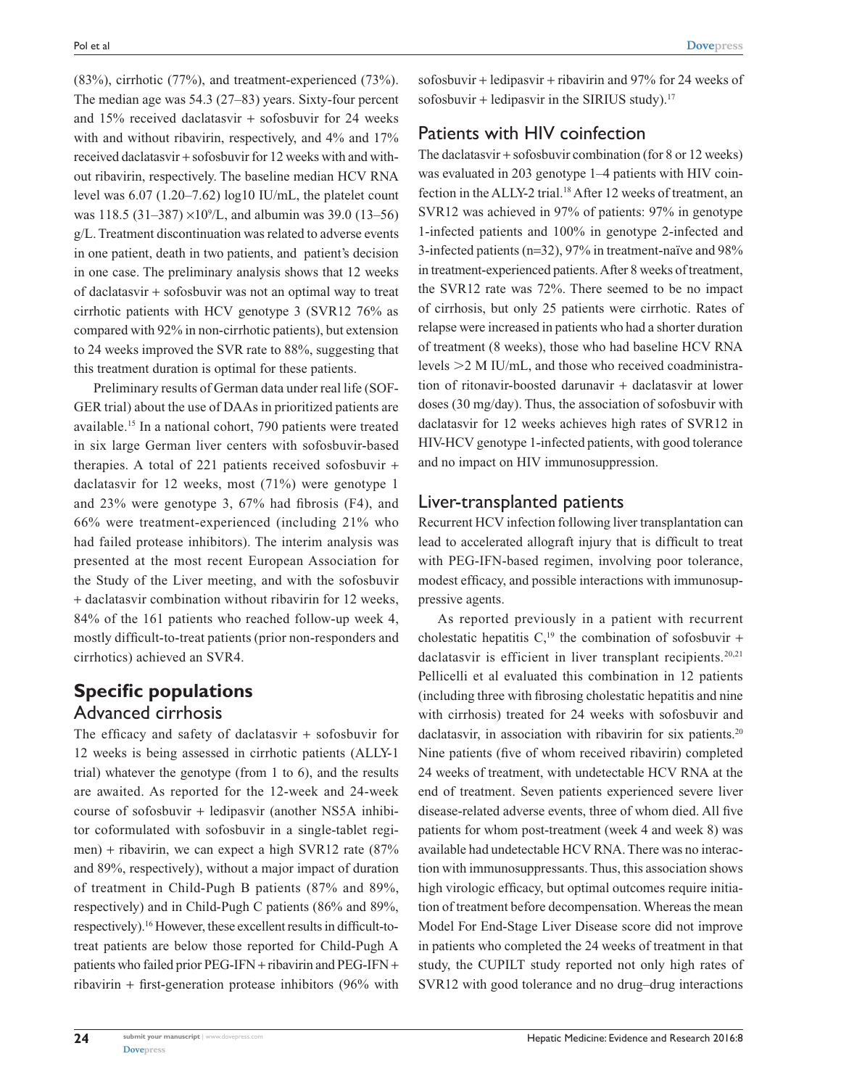(83%), cirrhotic (77%), and treatment-experienced (73%). The median age was 54.3 (27–83) years. Sixty-four percent and 15% received daclatasvir + sofosbuvir for 24 weeks with and without ribavirin, respectively, and  $4\%$  and  $17\%$ received daclatasvir + sofosbuvir for 12 weeks with and without ribavirin, respectively. The baseline median HCV RNA level was 6.07 (1.20–7.62) log10 IU/mL, the platelet count was 118.5  $(31-387) \times 10^{9}$ /L, and albumin was 39.0  $(13-56)$ g/L. Treatment discontinuation was related to adverse events in one patient, death in two patients, and patient's decision in one case. The preliminary analysis shows that 12 weeks of daclatasvir + sofosbuvir was not an optimal way to treat cirrhotic patients with HCV genotype 3 (SVR12 76% as compared with 92% in non-cirrhotic patients), but extension to 24 weeks improved the SVR rate to 88%, suggesting that this treatment duration is optimal for these patients.

Preliminary results of German data under real life (SOF-GER trial) about the use of DAAs in prioritized patients are available.15 In a national cohort, 790 patients were treated in six large German liver centers with sofosbuvir-based therapies. A total of 221 patients received sofosbuvir + daclatasvir for 12 weeks, most (71%) were genotype 1 and 23% were genotype 3, 67% had fibrosis (F4), and 66% were treatment-experienced (including 21% who had failed protease inhibitors). The interim analysis was presented at the most recent European Association for the Study of the Liver meeting, and with the sofosbuvir + daclatasvir combination without ribavirin for 12 weeks, 84% of the 161 patients who reached follow-up week 4, mostly difficult-to-treat patients (prior non-responders and cirrhotics) achieved an SVR4.

# **Specific populations** Advanced cirrhosis

The efficacy and safety of daclatasvir + sofosbuvir for 12 weeks is being assessed in cirrhotic patients (ALLY-1 trial) whatever the genotype (from 1 to 6), and the results are awaited. As reported for the 12-week and 24-week course of sofosbuvir + ledipasvir (another NS5A inhibitor coformulated with sofosbuvir in a single-tablet regimen) + ribavirin, we can expect a high SVR12 rate (87% and 89%, respectively), without a major impact of duration of treatment in Child-Pugh B patients (87% and 89%, respectively) and in Child-Pugh C patients (86% and 89%, respectively).16 However, these excellent results in difficult-totreat patients are below those reported for Child-Pugh A patients who failed prior PEG-IFN + ribavirin and PEG-IFN + ribavirin + first-generation protease inhibitors (96% with

sofosbuvir + ledipasvir + ribavirin and 97% for 24 weeks of sofosbuvir + ledipasvir in the SIRIUS study).<sup>17</sup>

#### Patients with HIV coinfection

The daclatasvir + sofosbuvir combination (for 8 or 12 weeks) was evaluated in 203 genotype 1–4 patients with HIV coinfection in the ALLY-2 trial.<sup>18</sup> After 12 weeks of treatment, an SVR12 was achieved in 97% of patients: 97% in genotype 1-infected patients and 100% in genotype 2-infected and 3-infected patients (n=32), 97% in treatment-naïve and 98% in treatment-experienced patients. After 8 weeks of treatment, the SVR12 rate was 72%. There seemed to be no impact of cirrhosis, but only 25 patients were cirrhotic. Rates of relapse were increased in patients who had a shorter duration of treatment (8 weeks), those who had baseline HCV RNA levels  $\geq$  2 M IU/mL, and those who received coadministration of ritonavir-boosted darunavir + daclatasvir at lower doses (30 mg/day). Thus, the association of sofosbuvir with daclatasvir for 12 weeks achieves high rates of SVR12 in HIV-HCV genotype 1-infected patients, with good tolerance and no impact on HIV immunosuppression.

## Liver-transplanted patients

Recurrent HCV infection following liver transplantation can lead to accelerated allograft injury that is difficult to treat with PEG-IFN-based regimen, involving poor tolerance, modest efficacy, and possible interactions with immunosuppressive agents.

As reported previously in a patient with recurrent cholestatic hepatitis  $C<sub>19</sub>$  the combination of sofosbuvir + daclatasvir is efficient in liver transplant recipients.<sup>20,21</sup> Pellicelli et al evaluated this combination in 12 patients (including three with fibrosing cholestatic hepatitis and nine with cirrhosis) treated for 24 weeks with sofosbuvir and daclatasvir, in association with ribavirin for six patients.<sup>20</sup> Nine patients (five of whom received ribavirin) completed 24 weeks of treatment, with undetectable HCV RNA at the end of treatment. Seven patients experienced severe liver disease-related adverse events, three of whom died. All five patients for whom post-treatment (week 4 and week 8) was available had undetectable HCV RNA. There was no interaction with immunosuppressants. Thus, this association shows high virologic efficacy, but optimal outcomes require initiation of treatment before decompensation. Whereas the mean Model For End-Stage Liver Disease score did not improve in patients who completed the 24 weeks of treatment in that study, the CUPILT study reported not only high rates of SVR12 with good tolerance and no drug–drug interactions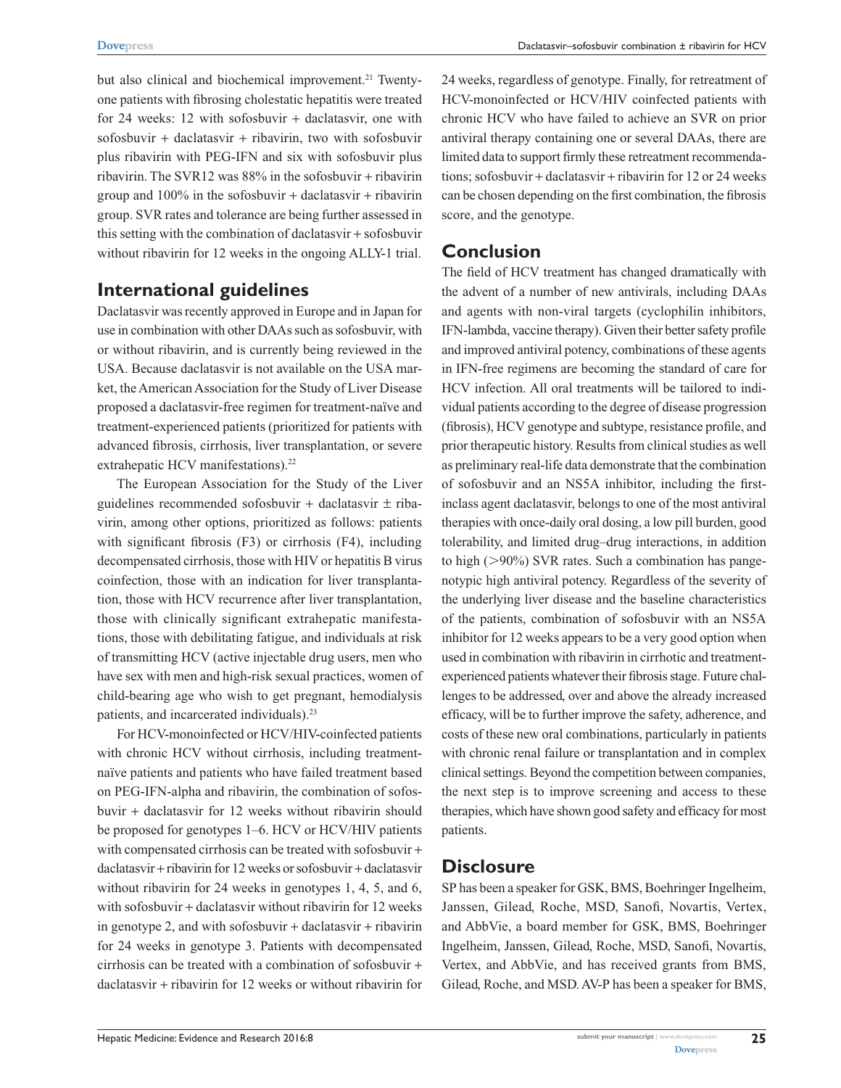but also clinical and biochemical improvement.<sup>21</sup> Twentyone patients with fibrosing cholestatic hepatitis were treated for 24 weeks: 12 with sofosbuvir + daclatasvir, one with sofosbuvir + daclatasvir + ribavirin, two with sofosbuvir plus ribavirin with PEG-IFN and six with sofosbuvir plus ribavirin. The SVR12 was  $88\%$  in the sofosbuvir + ribavirin group and  $100\%$  in the sofosbuvir + daclatasvir + ribavirin group. SVR rates and tolerance are being further assessed in this setting with the combination of daclatasvir + sofosbuvir without ribavirin for 12 weeks in the ongoing ALLY-1 trial.

# **International guidelines**

Daclatasvir was recently approved in Europe and in Japan for use in combination with other DAAs such as sofosbuvir, with or without ribavirin, and is currently being reviewed in the USA. Because daclatasvir is not available on the USA market, the American Association for the Study of Liver Disease proposed a daclatasvir-free regimen for treatment-naïve and treatment-experienced patients (prioritized for patients with advanced fibrosis, cirrhosis, liver transplantation, or severe extrahepatic HCV manifestations).<sup>22</sup>

The European Association for the Study of the Liver guidelines recommended sofosbuvir + daclatasvir  $\pm$  ribavirin, among other options, prioritized as follows: patients with significant fibrosis (F3) or cirrhosis (F4), including decompensated cirrhosis, those with HIV or hepatitis B virus coinfection, those with an indication for liver transplantation, those with HCV recurrence after liver transplantation, those with clinically significant extrahepatic manifestations, those with debilitating fatigue, and individuals at risk of transmitting HCV (active injectable drug users, men who have sex with men and high-risk sexual practices, women of child-bearing age who wish to get pregnant, hemodialysis patients, and incarcerated individuals).23

For HCV-monoinfected or HCV/HIV-coinfected patients with chronic HCV without cirrhosis, including treatmentnaïve patients and patients who have failed treatment based on PEG-IFN-alpha and ribavirin, the combination of sofosbuvir + daclatasvir for 12 weeks without ribavirin should be proposed for genotypes 1–6. HCV or HCV/HIV patients with compensated cirrhosis can be treated with sofosbuvir + daclatasvir + ribavirin for 12 weeks or sofosbuvir + daclatasvir without ribavirin for 24 weeks in genotypes 1, 4, 5, and 6, with sofosbuvir + daclatasvir without ribavirin for 12 weeks in genotype 2, and with sofosbuvir  $+$  daclatasvir  $+$  ribavirin for 24 weeks in genotype 3. Patients with decompensated cirrhosis can be treated with a combination of sofosbuvir + daclatasvir + ribavirin for 12 weeks or without ribavirin for

24 weeks, regardless of genotype. Finally, for retreatment of HCV-monoinfected or HCV/HIV coinfected patients with chronic HCV who have failed to achieve an SVR on prior antiviral therapy containing one or several DAAs, there are limited data to support firmly these retreatment recommendations; sofosbuvir + daclatasvir + ribavirin for 12 or 24 weeks can be chosen depending on the first combination, the fibrosis score, and the genotype.

### **Conclusion**

The field of HCV treatment has changed dramatically with the advent of a number of new antivirals, including DAAs and agents with non-viral targets (cyclophilin inhibitors, IFN-lambda, vaccine therapy). Given their better safety profile and improved antiviral potency, combinations of these agents in IFN-free regimens are becoming the standard of care for HCV infection. All oral treatments will be tailored to individual patients according to the degree of disease progression (fibrosis), HCV genotype and subtype, resistance profile, and prior therapeutic history. Results from clinical studies as well as preliminary real-life data demonstrate that the combination of sofosbuvir and an NS5A inhibitor, including the firstinclass agent daclatasvir, belongs to one of the most antiviral therapies with once-daily oral dosing, a low pill burden, good tolerability, and limited drug–drug interactions, in addition to high  $(>90\%)$  SVR rates. Such a combination has pangenotypic high antiviral potency. Regardless of the severity of the underlying liver disease and the baseline characteristics of the patients, combination of sofosbuvir with an NS5A inhibitor for 12 weeks appears to be a very good option when used in combination with ribavirin in cirrhotic and treatmentexperienced patients whatever their fibrosis stage. Future challenges to be addressed, over and above the already increased efficacy, will be to further improve the safety, adherence, and costs of these new oral combinations, particularly in patients with chronic renal failure or transplantation and in complex clinical settings. Beyond the competition between companies, the next step is to improve screening and access to these therapies, which have shown good safety and efficacy for most patients.

#### **Disclosure**

SP has been a speaker for GSK, BMS, Boehringer Ingelheim, Janssen, Gilead, Roche, MSD, Sanofi, Novartis, Vertex, and AbbVie, a board member for GSK, BMS, Boehringer Ingelheim, Janssen, Gilead, Roche, MSD, Sanofi, Novartis, Vertex, and AbbVie, and has received grants from BMS, Gilead, Roche, and MSD. AV-P has been a speaker for BMS,